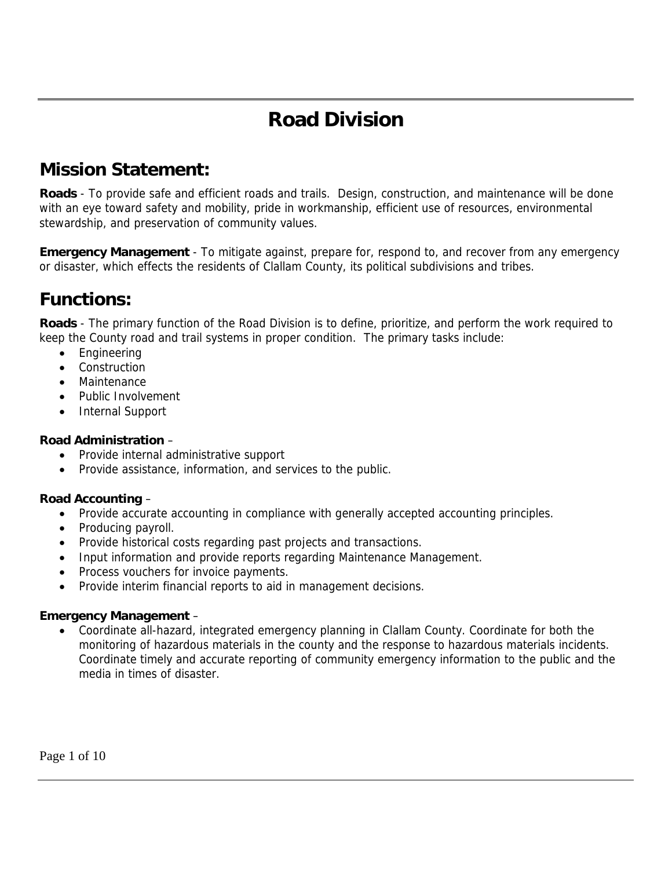# **Road Division**

## **Mission Statement:**

**Roads** - To provide safe and efficient roads and trails. Design, construction, and maintenance will be done with an eye toward safety and mobility, pride in workmanship, efficient use of resources, environmental stewardship, and preservation of community values.

**Emergency Management** - To mitigate against, prepare for, respond to, and recover from any emergency or disaster, which effects the residents of Clallam County, its political subdivisions and tribes.

### **Functions:**

**Roads** - The primary function of the Road Division is to define, prioritize, and perform the work required to keep the County road and trail systems in proper condition. The primary tasks include:

- Engineering
- **Construction**
- Maintenance
- Public Involvement
- Internal Support

#### **Road Administration** –

- Provide internal administrative support
- Provide assistance, information, and services to the public.

#### **Road Accounting** –

- Provide accurate accounting in compliance with generally accepted accounting principles.
- Producing payroll.
- Provide historical costs regarding past projects and transactions.
- Input information and provide reports regarding Maintenance Management.
- Process vouchers for invoice payments.
- Provide interim financial reports to aid in management decisions.

#### **Emergency Management** –

• Coordinate all-hazard, integrated emergency planning in Clallam County. Coordinate for both the monitoring of hazardous materials in the county and the response to hazardous materials incidents. Coordinate timely and accurate reporting of community emergency information to the public and the media in times of disaster.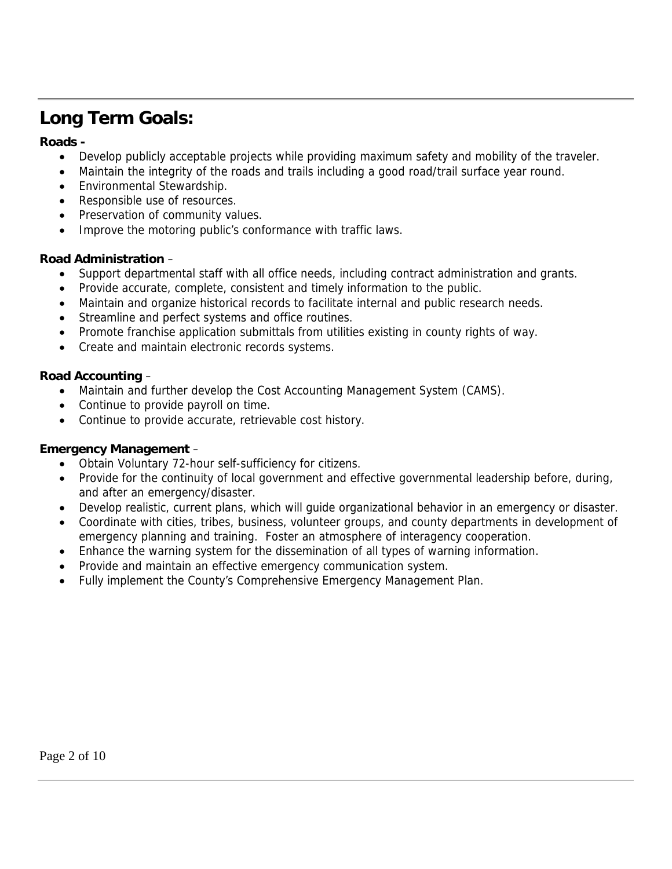## **Long Term Goals:**

#### **Roads -**

- Develop publicly acceptable projects while providing maximum safety and mobility of the traveler.
- Maintain the integrity of the roads and trails including a good road/trail surface year round.
- Environmental Stewardship.
- Responsible use of resources.
- Preservation of community values.
- Improve the motoring public's conformance with traffic laws.

#### **Road Administration** –

- Support departmental staff with all office needs, including contract administration and grants.
- Provide accurate, complete, consistent and timely information to the public.
- Maintain and organize historical records to facilitate internal and public research needs.
- Streamline and perfect systems and office routines.
- Promote franchise application submittals from utilities existing in county rights of way.
- Create and maintain electronic records systems.

#### **Road Accounting** –

- Maintain and further develop the Cost Accounting Management System (CAMS).
- Continue to provide payroll on time.
- Continue to provide accurate, retrievable cost history.

#### **Emergency Management** –

- Obtain Voluntary 72-hour self-sufficiency for citizens.
- Provide for the continuity of local government and effective governmental leadership before, during, and after an emergency/disaster.
- Develop realistic, current plans, which will guide organizational behavior in an emergency or disaster.
- Coordinate with cities, tribes, business, volunteer groups, and county departments in development of emergency planning and training. Foster an atmosphere of interagency cooperation.
- Enhance the warning system for the dissemination of all types of warning information.
- Provide and maintain an effective emergency communication system.
- Fully implement the County's Comprehensive Emergency Management Plan.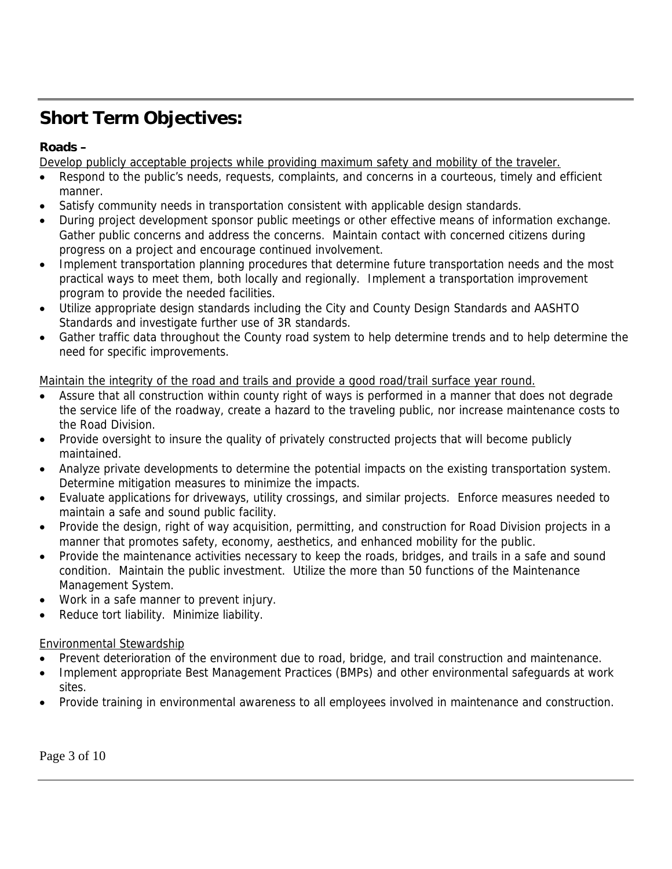## **Short Term Objectives:**

#### **Roads –**

Develop publicly acceptable projects while providing maximum safety and mobility of the traveler.

- Respond to the public's needs, requests, complaints, and concerns in a courteous, timely and efficient manner.
- Satisfy community needs in transportation consistent with applicable design standards.
- During project development sponsor public meetings or other effective means of information exchange. Gather public concerns and address the concerns. Maintain contact with concerned citizens during progress on a project and encourage continued involvement.
- Implement transportation planning procedures that determine future transportation needs and the most practical ways to meet them, both locally and regionally. Implement a transportation improvement program to provide the needed facilities.
- Utilize appropriate design standards including the City and County Design Standards and AASHTO Standards and investigate further use of 3R standards.
- Gather traffic data throughout the County road system to help determine trends and to help determine the need for specific improvements.

#### Maintain the integrity of the road and trails and provide a good road/trail surface year round.

- Assure that all construction within county right of ways is performed in a manner that does not degrade the service life of the roadway, create a hazard to the traveling public, nor increase maintenance costs to the Road Division.
- Provide oversight to insure the quality of privately constructed projects that will become publicly maintained.
- Analyze private developments to determine the potential impacts on the existing transportation system. Determine mitigation measures to minimize the impacts.
- Evaluate applications for driveways, utility crossings, and similar projects. Enforce measures needed to maintain a safe and sound public facility.
- Provide the design, right of way acquisition, permitting, and construction for Road Division projects in a manner that promotes safety, economy, aesthetics, and enhanced mobility for the public.
- Provide the maintenance activities necessary to keep the roads, bridges, and trails in a safe and sound condition. Maintain the public investment. Utilize the more than 50 functions of the Maintenance Management System.
- Work in a safe manner to prevent injury.
- Reduce tort liability. Minimize liability.

#### Environmental Stewardship

- Prevent deterioration of the environment due to road, bridge, and trail construction and maintenance.
- Implement appropriate Best Management Practices (BMPs) and other environmental safeguards at work sites.
- Provide training in environmental awareness to all employees involved in maintenance and construction.

Page 3 of 10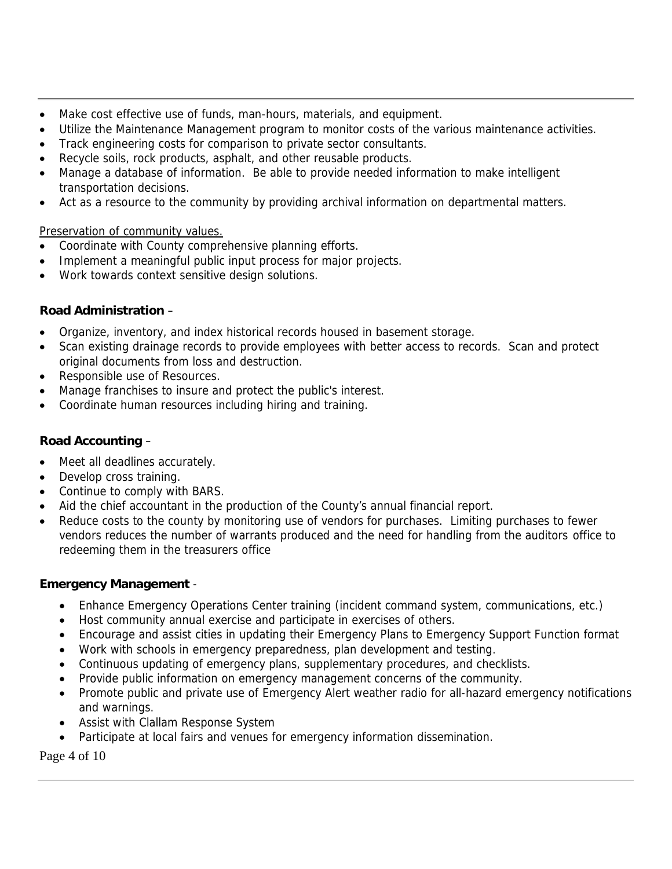- Make cost effective use of funds, man-hours, materials, and equipment.
- Utilize the Maintenance Management program to monitor costs of the various maintenance activities.
- Track engineering costs for comparison to private sector consultants.
- Recycle soils, rock products, asphalt, and other reusable products.
- Manage a database of information. Be able to provide needed information to make intelligent transportation decisions.
- Act as a resource to the community by providing archival information on departmental matters.

#### Preservation of community values.

- Coordinate with County comprehensive planning efforts.
- Implement a meaningful public input process for major projects.
- Work towards context sensitive design solutions.

#### **Road Administration** –

- Organize, inventory, and index historical records housed in basement storage.
- Scan existing drainage records to provide employees with better access to records. Scan and protect original documents from loss and destruction.
- Responsible use of Resources.
- Manage franchises to insure and protect the public's interest.
- Coordinate human resources including hiring and training.

#### **Road Accounting** –

- Meet all deadlines accurately.
- Develop cross training.
- Continue to comply with BARS.
- Aid the chief accountant in the production of the County's annual financial report.
- Reduce costs to the county by monitoring use of vendors for purchases. Limiting purchases to fewer vendors reduces the number of warrants produced and the need for handling from the auditors office to redeeming them in the treasurers office

#### **Emergency Management** -

- Enhance Emergency Operations Center training (incident command system, communications, etc.)
- Host community annual exercise and participate in exercises of others.
- Encourage and assist cities in updating their Emergency Plans to Emergency Support Function format
- Work with schools in emergency preparedness, plan development and testing.
- Continuous updating of emergency plans, supplementary procedures, and checklists.
- Provide public information on emergency management concerns of the community.
- Promote public and private use of Emergency Alert weather radio for all-hazard emergency notifications and warnings.
- Assist with Clallam Response System
- Participate at local fairs and venues for emergency information dissemination.

Page 4 of 10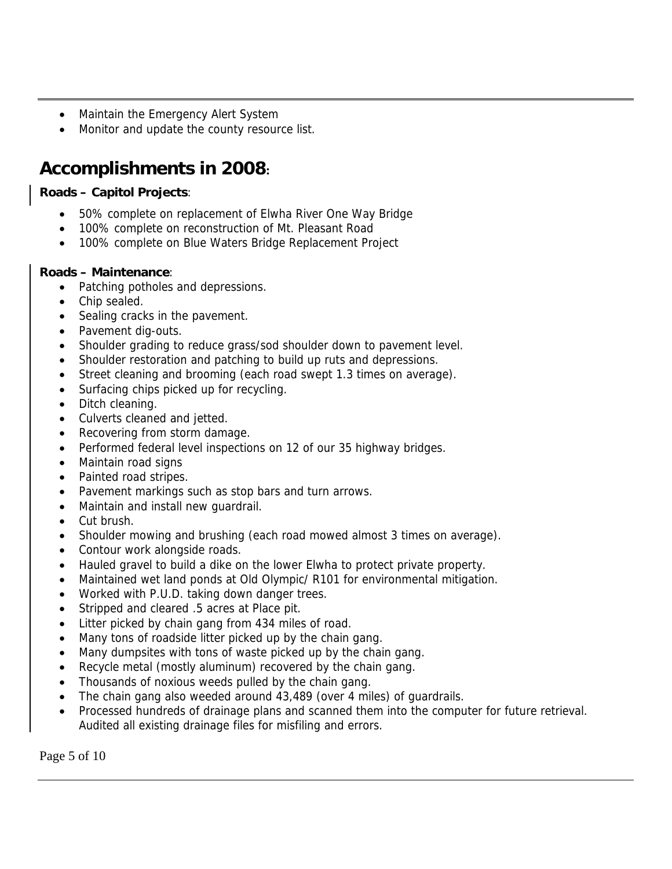- Maintain the Emergency Alert System
- Monitor and update the county resource list.

## **Accomplishments in 2008:**

#### **Roads – Capitol Projects**:

- 50% complete on replacement of Elwha River One Way Bridge
- 100% complete on reconstruction of Mt. Pleasant Road
- 100% complete on Blue Waters Bridge Replacement Project

#### **Roads – Maintenance**:

- Patching potholes and depressions.
- Chip sealed.
- Sealing cracks in the pavement.
- Pavement dig-outs.
- Shoulder grading to reduce grass/sod shoulder down to pavement level.
- Shoulder restoration and patching to build up ruts and depressions.
- Street cleaning and brooming (each road swept 1.3 times on average).
- Surfacing chips picked up for recycling.
- Ditch cleaning.
- Culverts cleaned and jetted.
- Recovering from storm damage.
- Performed federal level inspections on 12 of our 35 highway bridges.
- Maintain road signs
- Painted road stripes.
- Pavement markings such as stop bars and turn arrows.
- Maintain and install new guardrail.
- Cut brush.
- Shoulder mowing and brushing (each road mowed almost 3 times on average).
- Contour work alongside roads.
- Hauled gravel to build a dike on the lower Elwha to protect private property.
- Maintained wet land ponds at Old Olympic/ R101 for environmental mitigation.
- Worked with P.U.D. taking down danger trees.
- Stripped and cleared .5 acres at Place pit.
- Litter picked by chain gang from 434 miles of road.
- Many tons of roadside litter picked up by the chain gang.
- Many dumpsites with tons of waste picked up by the chain gang.
- Recycle metal (mostly aluminum) recovered by the chain gang.
- Thousands of noxious weeds pulled by the chain gang.
- The chain gang also weeded around 43,489 (over 4 miles) of guardrails.
- Processed hundreds of drainage plans and scanned them into the computer for future retrieval. Audited all existing drainage files for misfiling and errors.

Page 5 of 10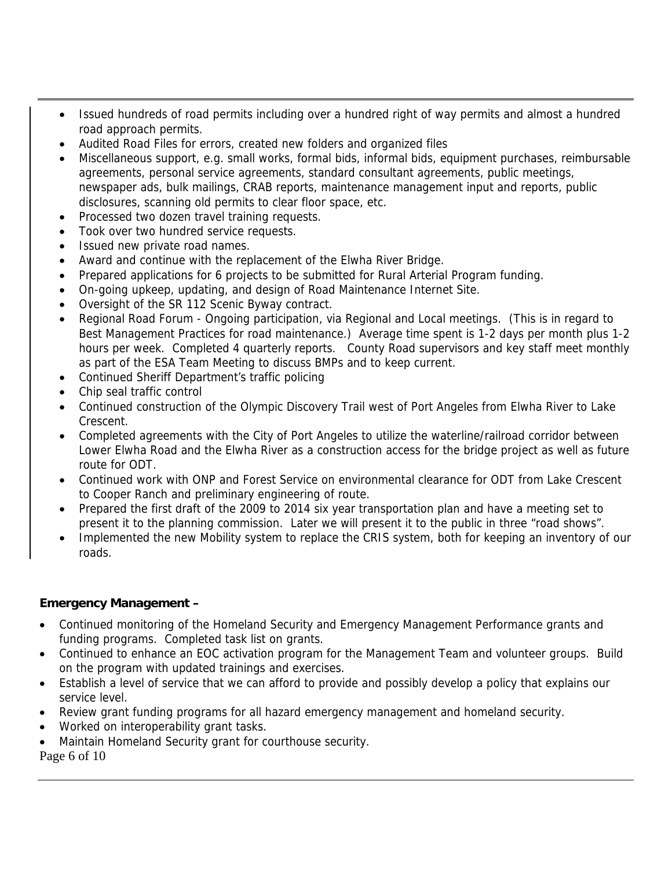- Issued hundreds of road permits including over a hundred right of way permits and almost a hundred road approach permits.
- Audited Road Files for errors, created new folders and organized files
- Miscellaneous support, e.g. small works, formal bids, informal bids, equipment purchases, reimbursable agreements, personal service agreements, standard consultant agreements, public meetings, newspaper ads, bulk mailings, CRAB reports, maintenance management input and reports, public disclosures, scanning old permits to clear floor space, etc.
- Processed two dozen travel training requests.
- Took over two hundred service requests.
- Issued new private road names.
- Award and continue with the replacement of the Elwha River Bridge.
- Prepared applications for 6 projects to be submitted for Rural Arterial Program funding.
- On-going upkeep, updating, and design of Road Maintenance Internet Site.
- Oversight of the SR 112 Scenic Byway contract.
- Regional Road Forum Ongoing participation, via Regional and Local meetings. (This is in regard to Best Management Practices for road maintenance.) Average time spent is 1-2 days per month plus 1-2 hours per week. Completed 4 quarterly reports. County Road supervisors and key staff meet monthly as part of the ESA Team Meeting to discuss BMPs and to keep current.
- Continued Sheriff Department's traffic policing
- Chip seal traffic control
- Continued construction of the Olympic Discovery Trail west of Port Angeles from Elwha River to Lake Crescent.
- Completed agreements with the City of Port Angeles to utilize the waterline/railroad corridor between Lower Elwha Road and the Elwha River as a construction access for the bridge project as well as future route for ODT.
- Continued work with ONP and Forest Service on environmental clearance for ODT from Lake Crescent to Cooper Ranch and preliminary engineering of route.
- Prepared the first draft of the 2009 to 2014 six year transportation plan and have a meeting set to present it to the planning commission. Later we will present it to the public in three "road shows".
- Implemented the new Mobility system to replace the CRIS system, both for keeping an inventory of our roads.

#### **Emergency Management –**

- Continued monitoring of the Homeland Security and Emergency Management Performance grants and funding programs. Completed task list on grants.
- Continued to enhance an EOC activation program for the Management Team and volunteer groups. Build on the program with updated trainings and exercises.
- Establish a level of service that we can afford to provide and possibly develop a policy that explains our service level.
- Review grant funding programs for all hazard emergency management and homeland security.
- Worked on interoperability grant tasks.
- Maintain Homeland Security grant for courthouse security.
- Page 6 of 10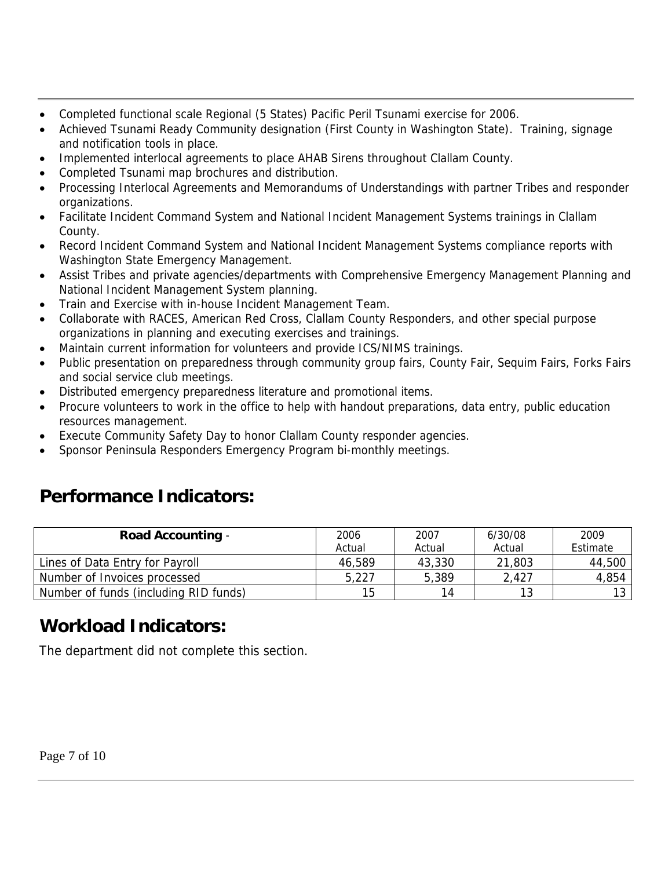- Completed functional scale Regional (5 States) Pacific Peril Tsunami exercise for 2006.
- Achieved Tsunami Ready Community designation (First County in Washington State). Training, signage and notification tools in place.
- Implemented interlocal agreements to place AHAB Sirens throughout Clallam County.
- Completed Tsunami map brochures and distribution.
- Processing Interlocal Agreements and Memorandums of Understandings with partner Tribes and responder organizations.
- Facilitate Incident Command System and National Incident Management Systems trainings in Clallam County.
- Record Incident Command System and National Incident Management Systems compliance reports with Washington State Emergency Management.
- Assist Tribes and private agencies/departments with Comprehensive Emergency Management Planning and National Incident Management System planning.
- Train and Exercise with in-house Incident Management Team.
- Collaborate with RACES, American Red Cross, Clallam County Responders, and other special purpose organizations in planning and executing exercises and trainings.
- Maintain current information for volunteers and provide ICS/NIMS trainings.
- Public presentation on preparedness through community group fairs, County Fair, Sequim Fairs, Forks Fairs and social service club meetings.
- Distributed emergency preparedness literature and promotional items.
- Procure volunteers to work in the office to help with handout preparations, data entry, public education resources management.
- Execute Community Safety Day to honor Clallam County responder agencies.
- Sponsor Peninsula Responders Emergency Program bi-monthly meetings.

## **Performance Indicators:**

| <b>Road Accounting -</b>              | 2006<br>Actual | 2007<br>Actual | 6/30/08<br>Actual | 2009<br>Estimate |
|---------------------------------------|----------------|----------------|-------------------|------------------|
| Lines of Data Entry for Payroll       | 46,589         | 43,330         | 21,803            | 44,500           |
| Number of Invoices processed          | 5,227          | 5,389          | 2,427             | 4,854            |
| Number of funds (including RID funds) | 15             | 14             | 13                | 13               |

## **Workload Indicators:**

The department did not complete this section.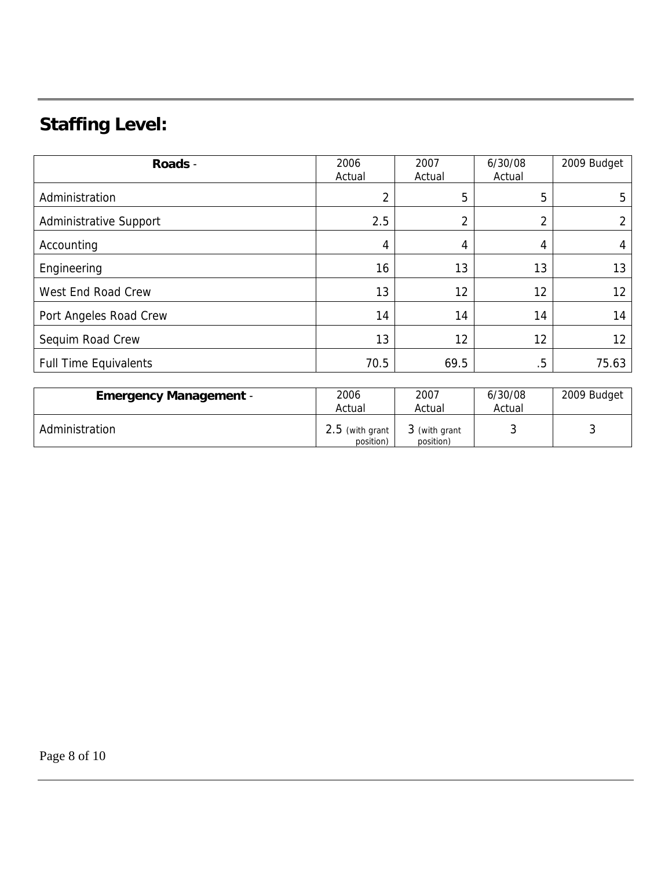## **Staffing Level:**

| Roads -                      | 2006<br>Actual | 2007<br>Actual | 6/30/08<br>Actual | 2009 Budget |
|------------------------------|----------------|----------------|-------------------|-------------|
| Administration               | 2              | 5              | 5                 | 5           |
| Administrative Support       | 2.5            | າ              | ↑<br>∠            |             |
| Accounting                   | 4              | 4              | 4                 |             |
| Engineering                  | 16             | 13             | 13                | 13          |
| West End Road Crew           | 13             | 12             | 12                | 12          |
| Port Angeles Road Crew       | 14             | 14             | 14                | 14          |
| Sequim Road Crew             | 13             | 12             | 12                | 12          |
| <b>Full Time Equivalents</b> | 70.5           | 69.5           | $.5\,$            | 75.63       |

| <b>Emergency Management -</b> | 2006<br>Actual                 | 2007<br>Actual             | 6/30/08<br>Actual | 2009 Budget |
|-------------------------------|--------------------------------|----------------------------|-------------------|-------------|
| Administration                | $2.5$ (with grant<br>position) | 3 (with grant<br>position) |                   |             |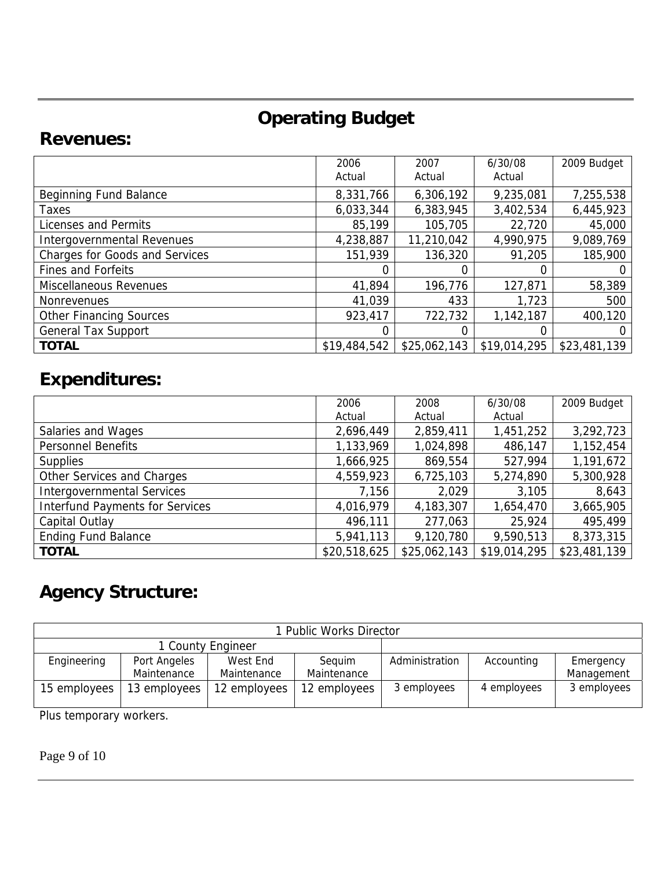## **Operating Budget**

### **Revenues:**

|                                       | 2006<br>Actual | 2007<br>Actual | 6/30/08<br>Actual | 2009 Budget  |
|---------------------------------------|----------------|----------------|-------------------|--------------|
| Beginning Fund Balance                | 8,331,766      | 6,306,192      | 9,235,081         | 7,255,538    |
| Taxes                                 | 6,033,344      | 6,383,945      | 3,402,534         | 6,445,923    |
| Licenses and Permits                  | 85,199         | 105,705        | 22,720            | 45,000       |
| Intergovernmental Revenues            | 4,238,887      | 11,210,042     | 4,990,975         | 9,089,769    |
| <b>Charges for Goods and Services</b> | 151,939        | 136,320        | 91,205            | 185,900      |
| <b>Fines and Forfeits</b>             |                |                |                   |              |
| Miscellaneous Revenues                | 41,894         | 196,776        | 127,871           | 58,389       |
| <b>Nonrevenues</b>                    | 41,039         | 433            | 1,723             | 500          |
| <b>Other Financing Sources</b>        | 923,417        | 722,732        | 1,142,187         | 400,120      |
| <b>General Tax Support</b>            |                |                |                   | $\Omega$     |
| <b>TOTAL</b>                          | \$19,484,542   | \$25,062,143   | \$19,014,295      | \$23,481,139 |

## **Expenditures:**

|                                        | 2006         | 2008         | 6/30/08      | 2009 Budget  |
|----------------------------------------|--------------|--------------|--------------|--------------|
|                                        | Actual       | Actual       | Actual       |              |
| Salaries and Wages                     | 2,696,449    | 2,859,411    | 1,451,252    | 3,292,723    |
| <b>Personnel Benefits</b>              | 1,133,969    | 1,024,898    | 486,147      | 1,152,454    |
| <b>Supplies</b>                        | 1,666,925    | 869,554      | 527,994      | 1,191,672    |
| Other Services and Charges             | 4,559,923    | 6,725,103    | 5,274,890    | 5,300,928    |
| <b>Intergovernmental Services</b>      | 7,156        | 2,029        | 3,105        | 8,643        |
| <b>Interfund Payments for Services</b> | 4,016,979    | 4,183,307    | 1,654,470    | 3,665,905    |
| Capital Outlay                         | 496,111      | 277,063      | 25,924       | 495,499      |
| <b>Ending Fund Balance</b>             | 5,941,113    | 9,120,780    | 9,590,513    | 8,373,315    |
| <b>TOTAL</b>                           | \$20,518,625 | \$25,062,143 | \$19,014,295 | \$23,481,139 |

# **Agency Structure:**

| 1 Public Works Director |              |              |              |                |             |             |
|-------------------------|--------------|--------------|--------------|----------------|-------------|-------------|
| 1 County Engineer       |              |              |              |                |             |             |
| Engineering             | Port Angeles | West End     | Sequim       | Administration | Accounting  | Emergency   |
|                         | Maintenance  | Maintenance  | Maintenance  |                |             | Management  |
| 15 employees            | 13 employees | 12 employees | 12 employees | 3 employees    | 4 employees | 3 employees |

Plus temporary workers.

Page 9 of 10